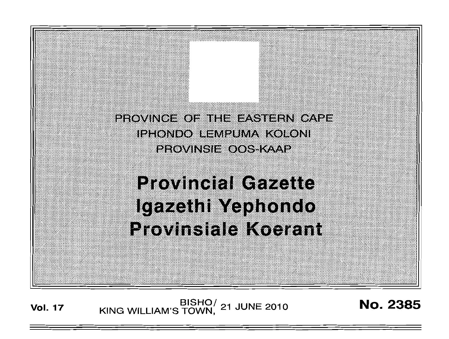

# **Provincial Gazette** lgazethi Yephondo **Provinsiale Koerant**

BISHO/ 21 JUNE 2010<br>KING WILLIAM'S TOWN, 21 JUNE 2010 **Vol. 17** 

**No. 2385**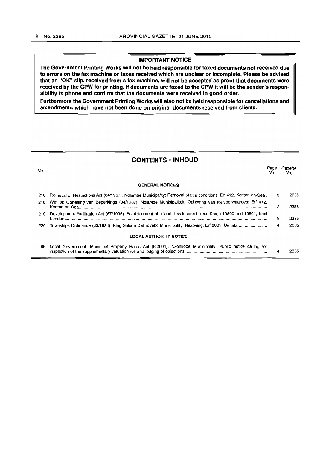## **IMPORTANT NOTICE**

**The Government Printing Works will not be held responsible for faxed documents not received due to errors on the fax machine or faxes received which are unclear or incomplete. Please be advised that an "OK" slip, received from a fax machine, will not be accepted as proof that documents were received by the GPW for printing. If documents are faxed to the GPW it will be the sender's responsibility to phone and confirm that the documents were received in good order.** 

**Furthermore the Government Printing Works will also not be held responsible for cancellations and amendments which have not been done on original documents received from clients.** 

## **CONTENTS • INHOUD**

| No. |                                                                                                                   | Page<br>No. | Gazette<br>No. |
|-----|-------------------------------------------------------------------------------------------------------------------|-------------|----------------|
|     | <b>GENERAL NOTICES</b>                                                                                            |             |                |
| 218 | Removal of Restrictions Act (84/1967): Ndlambe Municipality: Removal of title conditions: Erf 412, Kenton-on-Sea. | 3           | 2385           |
| 218 | Wet op Opheffing van Beperkings (84/1967): Ndlambe Munisipaliteit: Opheffing van titelvoorwaardes: Erf 412,       | з           | 2385           |
| 219 | Development Facilitation Act (67/1995): Establishment of a land development area: Erven 10800 and 10804, East     | 5           | 2385           |
| 220 | Townships Ordinance (33/1934): King Sabata Dalindyebo Municipality: Rezoning: Erf 2061, Umtata                    | 4           | 2385           |
|     | <b>LOCAL AUTHORITY NOTICE</b>                                                                                     |             |                |
| 86. | Local Government: Municipal Property Rates Act (6/2004): Nkonkobe Municipality: Public notice calling for         | 4           | 2385           |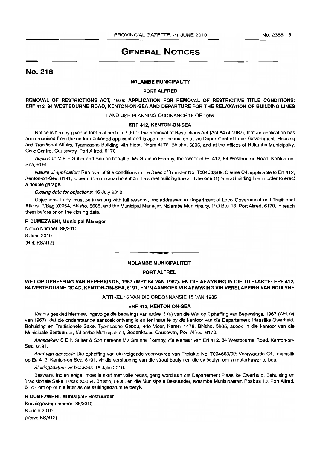# GENERAL NOTICES

## No. 218

#### NDLAMBE MUNICIPALITY

#### PORT ALFRED

REMOVAL OF RESTRICTIONS ACT, 1976: APPLICATION FOR REMOVAL OF RESTRICTIVE TITLE CONDITIONS: ERF 412, 84 WESTBOURNE ROAD, KENTON-ON-SEA AND DEPARTURE FOR THE RELAXATION OF BUILDING LINES

LAND USE PLANNING ORDINANCE 15 OF 1985

#### ERF 412, KENTON-ON-SEA

Notice is hereby given in terms of section 3 (6) of the Removal of Restrictions Act (Act 84 of 1967), that an application has been received from the undermentioned applicant and is open for inspection at the Department of Local Government. Housing and Traditional Affairs. Tyamzashe Building, 4th Floor, Room 4178, Bhisho, 5606, and at the offices of Ndlambe Municipality, Civic Centre, Causeway, Port Alfred, 6170.

Applicant: M E H Suiter and Son on behalf of Ms Grainne Formby, the owner of Erf 412, 84 Westbourne Road, Kenton-on-Sea, 6191.

Nature of application: Removal of title conditions in the Deed of Transfer No. T004663/09: Clause C4, applicable to Erf 412, Kenton-on-Sea, 6191, to permit the encroachment on the street building line and the one (1) lateral building line in order to erect a double garage.

Closing date for objections: 16 July 2010.

Objections if any, must be in writing with full reasons, and addressed to Department of Local Government and Traditional Affairs, P/Bag X0054, Bhisho, 5605, and the Municipal Manager. Ndlambe Municipality, POBox 13, Port Alfred, 6170, to reach them before or on the closing date.

#### R DUMEZWENI, Municipal Manager

Notice Number: 86/2010 8 June 2010 (Ref: KS/412)

#### NDLAMBE MUNISIPALITEIT

. **- .** 

#### PORT ALFRED

## WET OP OPHEFFING VAN BEPERKINGS, 1967 (WET 84 VAN 1967): EN DIE AFWYKING IN DIE TITELAKTE: ERF 412, 84 WESTBOURNE ROAD, KENTON-ON-SEA, 6191, EN 'N AANSOEK VIR AFWYKING VIR VERSLAPPING VAN BOULYNE

ARTIKEL 15 VAN DIE ORDONNANSIE 15 VAN 1985

#### ERF 412, KENTON-ON·SEA

Kennis geskied hiermee, ingevolge die bepalings van artikel 3 (6) van die Wet op Opheffing van Beperkings, 1967 (Wet 84 van 1967), dat die onderstaande aansoek ontvang is en ter insae Ie by die kantoor van die Departement Plaaslike Owerheid, Behuising en Tradisionele Sake, Tyamsashe Gebou, 4de Vloer, Kamer 1478. Bhisho, 5605, asook in die kantoor van die Munisipale Bestuurder, Ndlambe Munisipaliteit. Gedenksaal, Causeway. Port Alfred. 6170.

Aansoeker: S E H Suiter & Son namens Mv Grainne Formby, die eienaar van Erf 412, 84 Westbourne Road, Kenton-on-Sea. 6191.

Aard van aansoek: Die opheffing van die volgende voorwaarde van Titelakte No. T004663/09: Voorwaarde C4. toepaslik op Erf 412, Kenton-an-Sea, 6191, vir die verslapping van die straat boulyn en die sy boulyn om 'n motorhawer te bou.

Sluitingsdatum vir beswaar: 16 Julie 2010.

Besware, indien enige. moet in skrif met volle redes, gerig word aan die Departement Plaaslike Owerheid, Behuislng en Tradisionele Sake, P/sak X0054, Bhisho, 5605, en die Munisipale Bestuurder, Ndlambe Munisipaliteit, Posbus 13, PortAlfred, 6170, om op of nie later as die sluitingsdatum te beryk.

#### R DUMEZWENI, Munislpale Bestuurder

Kennisgewingnommer: 86/2010 8 Junie 2010 (Verw: KS/412)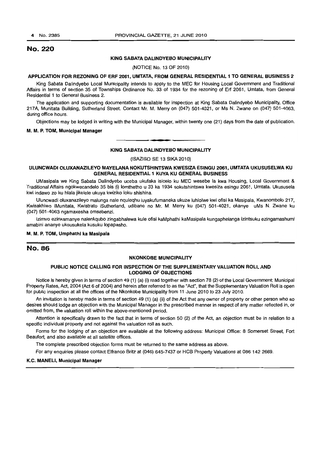## No. 220

#### KING SABATA DALINDYEBO MUNICIPALITY

(NOTICE No. 13 OF 2010)

#### APPLICATION FOR REZONING OF ERF 2061, UMTATA, FROM GENERAL RESIDENTIAL 1 TO GENERAL BUSINESS 2

King Sabata Dalindyebo Local Municipality intends to apply to the MEC for Housing Local Government and Traditional Affairs in terms of section 35 of Townships Ordinance No. 33 of 1934 for the rezoning of Erf 2061, Umtata, from General Residential 1 to General Business 2.

The application and supporting documentation is available for inspection at King Sabata Dalindyebo Municipality, Office 217A, Munitata Building, Sutherland Street. Contact Mr. M. Merry on (047) 501-4021, or Ms N. Zwane on (047) 501-4063, during office hours.

Objections may be lodged in writing with the Municipal Manager, within twenty one (21) days from the date of publication.

#### M. M. P. TOM, Municipal Manager

## **•**  KING SABATA DALINDYEBO MUNICIPALITY

(lSAZISO SE 13 SIKA2010)

#### ULUNCWADI OLUXANAZILEYO MAYELANA NOKUTSHINTSWA KWESIZA ESINGU 2061, UMTATA UKUSUSELWA KU **GENERAL RESIDENTIAL 1 KUYA KU GENERAL BUSINESS**

UMasipala we King Sabata Dalindyebo uceba ukufaka isicelo ku MEC wesebe la kwa Housing, Local Government & Traditional Affairs ngokwecandelo 35 bis (i) lomthetho u 33 ka 1934 sokutshintswa kwesiza esingu 2061, Umtata. Ukususela kwi indawo zo ku hlala jikelele ukuya kwiziko loku shishina.

Uluncwadi oluxanazileyo malunga nale nquleqhu luyakufumaneka ukuze luhlolwe kwi ofisi ka Masipala, Kwanombolo 217, Kwisakhiwo iMunitata, Kwistrato iSutherland, udibane no Mr. M. Merry ku (047) 501-4021, okanye uMs N. Zwane ku (047) 501-4063 ngamaxesha omsebenzi.

Izimvo ezinxamanye nalenkqubo zingabhalewa kule otisi kaMphathi kaMasipala kungaphelanga izintsuku ezingamashumi amabini ananye uksusukela kusuku lopapasho.

#### M. M. P. TOM, Umphathi ka Masipala

## No. 86

#### NKONKOBE MUNICIPALITY

## PUBLIC NOTICE CALLING FOR INSPECTION OF THE SUPPLEMENTARY VALUATION ROLL AND LODGING OF OBJECTIONS

Notice is hereby given in terms of section 49 (1) (a) (i) read together with section 78 (2) of the Local Government: Municipal Property Rates, Act, 2004 (Act 6 of 2004) and herein after referred to as the "Acf', that the Supplementary Valuation Roll is open for public inspection at all the offices of the Nkonkobe Municipality from 11 June 2010 to 23 July 2010.

An invitation is hereby made in terms of section 49 (1) (a) (ii) of the Act that any owner of property or other person who so desires should lodge an objection with the Municipal Manager in the prescribed manner in respect of any matter reflected in, or omitted from, the valuation roll within the above-mentioned period.

Attention is specifically drawn to the fact that in terms of section 50 (2) of the Act, an objection must be in relation to a specific individual property and not against the valuation roll as such.

Forms for the lodging of an objection are available at the following address: Municipal Office: 8 Somerset Street, Fort Beaufort, and also available at all satellite offices.

The complete prescribed objection forms must be returned to the same address as above.

For any enquiries please contact Elfranco Britz at (046) 645-7437 or HCB Property Valuations at 0861422669.

#### K.C. MANEU, Municipal Manager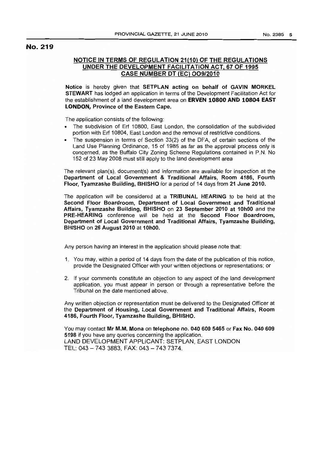## No. 219

## NOTICE IN TERMS OF REGULATION 21(10) OF THE REGULATIONS UNDER THE DEVELOPMENT FACILITATION ACT, 67 OF 1995 CASE NUMBER DT (EC) 009/2010

Notice is hereby given that SETPLAN acting on behalf of GAVIN MORKEL STEWART has lodged an application in terms of the Development Facilitation Act for the establishment of a land development area on **ERVEN 10800 AND 10804 EAST** LONDON, Province of the Eastern Cape.

The application consists of the following:

- The subdivision of Erf 10800, East London, the consolidation of the subdivided portion with Erf 10804, East London and the removal of restrictive conditions.
- The suspension in terms of Section 33(2) of the DFA, of certain sections of the Land Use Planning Ordinance, 15 of 1985 as far as the approval process only is concerned, as the Buffalo City Zoning Scheme Regulations contained in P.N. No 152 of 23 May 2008 must still apply to the land development area

The relevant plan(s), document(s) and information are available for inspection at the Department of local Government & Traditional Affairs, Room 4186, Fourth Floor, Tyamzashe Building, BHISHO for a period of 14 days from 21 June 2010.

The application will be considered at a TRIBUNAL HEARING to be held at the Second Floor Boardroom, Department of local Government and Traditional Affairs, Tyamzashe Building, BHISHO on 23 September 2010 at 10h00 and the PRE-HEARING conference will be held at the Second Floor Boardroom, Department of local Government and Traditional Affairs, Tyamzashe Building, BHISHO on 26 August 2010 at 10hOO.

Any person having an interest in the application should please note that:

- 1. You may, within a period of 14 days from the date of the publication of this notice, provide the Designated Officer with your written objections or representations; or
- 2. If your comments constitute an opjection to any aspect of the land development application, you must appear in person or through a representative before the Tribunal on the date mentioned above.

Any written objection or representation must be delivered to the Designated Officer at the Department of Housing, Local Government and Traditional Affairs, Room 4186, Fourth Floor, Tyamzashe Building, BHISHO.

You may contact Mr M.M. Mona on telephone no. 0406095465 or Fax No. 040609 5198 if you have any queries concerning the application. LAND DEVELOPMENT APPLICANT: SETPLAN, EAST LONDON TEL: 043 - 7433883, FAX: 043 - 7437374.